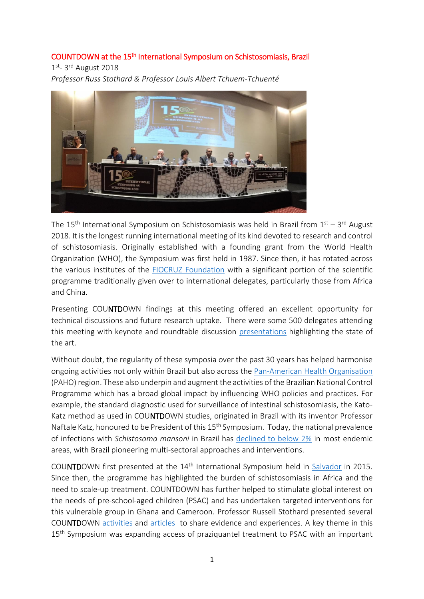## COUNTDOWN at the 15<sup>th</sup> International Symposium on Schistosomiasis, Brazil

1<sup>st</sup>- 3<sup>rd</sup> August 2018

*Professor Russ Stothard & Professor Louis Albert Tchuem-Tchuenté*



The 15<sup>th</sup> International Symposium on Schistosomiasis was held in Brazil from 1<sup>st</sup> – 3<sup>rd</sup> August 2018. It is the longest running international meeting of its kind devoted to research and control of schistosomiasis. Originally established with a founding grant from the World Health Organization (WHO), the Symposium was first held in 1987. Since then, it has rotated across the various institutes of the FIOCRUZ [Foundation](https://portal.fiocruz.br/en/foundation) with a significant portion of the scientific programme traditionally given over to international delegates, particularly those from Africa and China.

Presenting COUNTDOWN findings at this meeting offered an excellent opportunity for technical discussions and future research uptake. There were some 500 delegates attending this meeting with keynote and roundtable discussion [presentations](http://vppcb.fiocruz.br/symposium-schisto/img/Abstract_Book_15th_International_Symposium_on_Schistosomiasis.pdf) highlighting the state of the art.

Without doubt, the regularity of these symposia over the past 30 years has helped harmonise ongoing activities not only within Brazil but also across th[e Pan-American Health Organisation](https://www.paho.org/hq/) (PAHO) region. These also underpin and augment the activities of the Brazilian National Control Programme which has a broad global impact by influencing WHO policies and practices. For example, the standard diagnostic used for surveillance of intestinal schistosomiasis, the Kato-Katz method as used in COUNTDOWN studies, originated in Brazil with its inventor Professor Naftale Katz, honoured to be President of this 15<sup>th</sup> Symposium. Today, the national prevalence of infections with *Schistosoma mansoni* in Brazil has declined to [below 2%](http://www.cpqrr.fiocruz.br/pg/inquerito-nacional-de-prevalencia-da-esquistossomose-e-geo-helmintos/) in most endemic areas, with Brazil pioneering multi-sectoral approaches and interventions.

COUNTDOWN first presented at the 14th International Symposium held in [Salvador](https://countdownonntds.wordpress.com/2015/08/) in 2015. Since then, the programme has highlighted the burden of schistosomiasis in Africa and the need to scale-up treatment. COUNTDOWN has further helped to stimulate global interest on the needs of pre-school-aged children (PSAC) and has undertaken targeted interventions for this vulnerable group in Ghana and Cameroon. Professor Russell Stothard presented several COUNTDOWN [activities](http://journals.plos.org/plosntds/article?id=10.1371/journal.pntd.0004946) and [articles](https://idpjournal.biomedcentral.com/articles/10.1186/s40249-017-0264-8) to share evidence and experiences. A key theme in this 15<sup>th</sup> Symposium was expanding access of praziquantel treatment to PSAC with an important